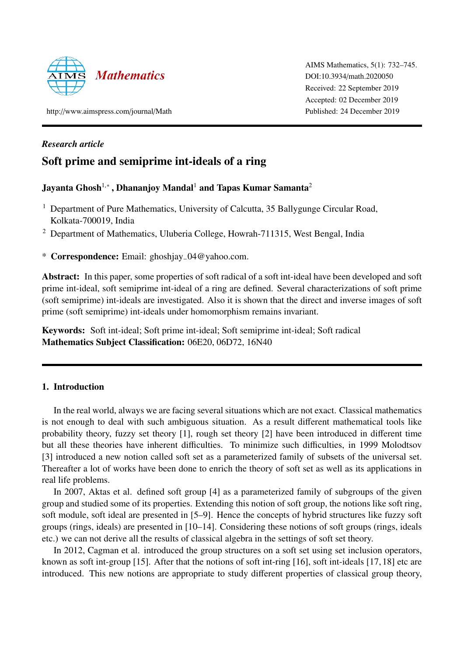

AIMS Mathematics, 5(1): 732–745. DOI:10.3934/math.2020050 Received: 22 September 2019 Accepted: 02 December 2019 Published: 24 December 2019

http://www.aimspress.com/journal/Math

# *Research article*

# Soft prime and semiprime int-ideals of a ring

# Jayanta Ghosh $^{1,*}$  , Dhananjoy Mandal $^1$  and Tapas Kumar Samanta $^2$

- <sup>1</sup> Department of Pure Mathematics, University of Calcutta, 35 Ballygunge Circular Road, Kolkata-700019, India
- <sup>2</sup> Department of Mathematics, Uluberia College, Howrah-711315, West Bengal, India
- \* Correspondence: Email: ghoshjay−04@yahoo.com.

Abstract: In this paper, some properties of soft radical of a soft int-ideal have been developed and soft prime int-ideal, soft semiprime int-ideal of a ring are defined. Several characterizations of soft prime (soft semiprime) int-ideals are investigated. Also it is shown that the direct and inverse images of soft prime (soft semiprime) int-ideals under homomorphism remains invariant.

Keywords: Soft int-ideal; Soft prime int-ideal; Soft semiprime int-ideal; Soft radical Mathematics Subject Classification: 06E20, 06D72, 16N40

# 1. Introduction

In the real world, always we are facing several situations which are not exact. Classical mathematics is not enough to deal with such ambiguous situation. As a result different mathematical tools like probability theory, fuzzy set theory [1], rough set theory [2] have been introduced in different time but all these theories have inherent difficulties. To minimize such difficulties, in 1999 Molodtsov [3] introduced a new notion called soft set as a parameterized family of subsets of the universal set. Thereafter a lot of works have been done to enrich the theory of soft set as well as its applications in real life problems.

In 2007, Aktas et al. defined soft group [4] as a parameterized family of subgroups of the given group and studied some of its properties. Extending this notion of soft group, the notions like soft ring, soft module, soft ideal are presented in [5–9]. Hence the concepts of hybrid structures like fuzzy soft groups (rings, ideals) are presented in [10–14]. Considering these notions of soft groups (rings, ideals etc.) we can not derive all the results of classical algebra in the settings of soft set theory.

In 2012, Cagman et al. introduced the group structures on a soft set using set inclusion operators, known as soft int-group [15]. After that the notions of soft int-ring [16], soft int-ideals [17, 18] etc are introduced. This new notions are appropriate to study different properties of classical group theory,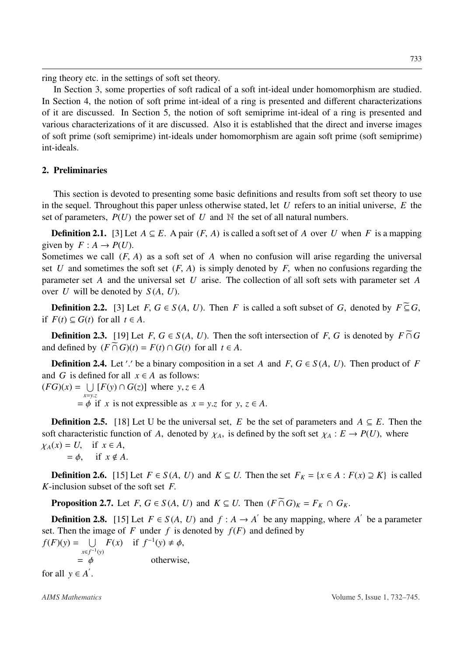ring theory etc. in the settings of soft set theory.

In Section 3, some properties of soft radical of a soft int-ideal under homomorphism are studied. In Section 4, the notion of soft prime int-ideal of a ring is presented and different characterizations of it are discussed. In Section 5, the notion of soft semiprime int-ideal of a ring is presented and various characterizations of it are discussed. Also it is established that the direct and inverse images of soft prime (soft semiprime) int-ideals under homomorphism are again soft prime (soft semiprime) int-ideals.

## 2. Preliminaries

This section is devoted to presenting some basic definitions and results from soft set theory to use in the sequel. Throughout this paper unless otherwise stated, let *U* refers to an initial universe, *E* the set of parameters,  $P(U)$  the power set of  $U$  and  $N$  the set of all natural numbers.

**Definition 2.1.** [3] Let  $A \subseteq E$ . A pair  $(F, A)$  is called a soft set of A over U when F is a mapping given by  $F: A \rightarrow P(U)$ .

Sometimes we call  $(F, A)$  as a soft set of A when no confusion will arise regarding the universal set U and sometimes the soft set  $(F, A)$  is simply denoted by F, when no confusions regarding the parameter set *A* and the universal set *U* arise. The collection of all soft sets with parameter set *A* over *U* will be denoted by *S* (*A*, *U*).

**Definition 2.2.** [3] Let  $F, G \in S(A, U)$ . Then F is called a soft subset of G, denoted by  $F \subseteq G$ , if *F*(*t*) ⊆ *G*(*t*) for all *t* ∈ *A*.

**Definition 2.3.** [19] Let *F*,  $G \in S(A, U)$ . Then the soft intersection of *F*, *G* is denoted by  $F \cap G$ and defined by  $(F \cap G)(t) = F(t) \cap G(t)$  for all  $t \in A$ .

**Definition 2.4.** Let'' be a binary composition in a set *A* and  $F$ ,  $G \in S(A, U)$ . Then product of *F* and *G* is defined for all  $x \in A$  as follows:  $(FG)(x) = \bigcup_{x \in \mathbb{R}^n} [F(y) \cap G(z)]$  where  $y, z \in A$ 

*x*=*y*.*z*  $= \phi$  if *x* is not expressible as  $x = y.z$  for  $y, z \in A$ .

**Definition 2.5.** [18] Let U be the universal set, *E* be the set of parameters and  $A \subseteq E$ . Then the soft characteristic function of *A*, denoted by  $\chi_A$ , is defined by the soft set  $\chi_A : E \to P(U)$ , where  $\chi_A(x) = U$ , if  $x \in A$ ,<br>=  $\phi$ , if  $x \notin A$ if  $x \notin A$ .

**Definition 2.6.** [15] Let *F* ∈ *S*(*A*, *U*) and *K* ⊆ *U*. Then the set  $F<sub>K</sub> = {x ∈ A : F(x) ⊇ K}$  is called *K*-inclusion subset of the soft set *F*.

**Proposition 2.7.** Let *F*,  $G \in S(A, U)$  and  $K \subseteq U$ . Then  $(F \cap G)_K = F_K \cap G_K$ .

**Definition 2.8.** [15] Let  $F \in S(A, U)$  and  $f : A \rightarrow A'$  be any mapping, where  $A'$  be a parameter set. Then the image of F under f is denoted by  $f(F)$  and defined by  $f(F)(y) = \bigcup F(x)$  if  $f^{-1}(y) \neq \phi$ ,

*x*∈ *f*<sup>-1</sup>(*y*)  $=$   $\phi$  otherwise, for all  $y \in A'$ .

*AIMS Mathematics* Volume 5, Issue 1, 732–745.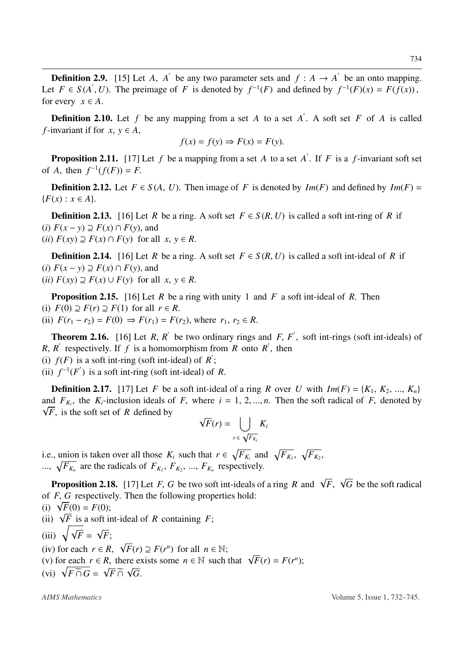**Definition 2.9.** [15] Let *A*, *A*<sup> $\prime$ </sup> be any two parameter sets and  $f : A \rightarrow A'$  be an onto mapping. Let  $F \in S(A', U)$ . The preimage of *F* is denoted by  $f^{-1}(F)$  and defined by  $f^{-1}(F)(x) = F(f(x))$ , for every  $x \in A$ .

**Definition 2.10.** Let  $f$  be any mapping from a set  $A$  to a set  $A'$ . A soft set  $F$  of  $A$  is called *f*-invariant if for  $x, y \in A$ ,

$$
f(x) = f(y) \Rightarrow F(x) = F(y).
$$

**Proposition 2.11.** [17] Let  $f$  be a mapping from a set  $A$  to a set  $A'$ . If  $F$  is a  $f$ -invariant soft set of *A*, then  $f^{-1}(f(F)) = F$ .

**Definition 2.12.** Let  $F \in S(A, U)$ . Then image of *F* is denoted by *Im*(*F*) and defined by *Im*(*F*) =  ${F(x) : x \in A}.$ 

**Definition 2.13.** [16] Let *R* be a ring. A soft set  $F \in S(R, U)$  is called a soft int-ring of *R* if  $(i)$   $F(x - y) \supseteq F(x) ∩ F(y)$ , and (*ii*)  $F(xy) \supseteq F(x) \cap F(y)$  for all *x*, *y* ∈ *R*.

**Definition 2.14.** [16] Let *R* be a ring. A soft set  $F \in S(R, U)$  is called a soft int-ideal of *R* if (*i*)  $F(x - y) \supseteq F(x) \cap F(y)$ , and

(*ii*)  $F(xy) \supseteq F(x) \cup F(y)$  for all *x*, *y* ∈ *R*.

Proposition 2.15. [16] Let *R* be a ring with unity 1 and *F* a soft int-ideal of *R*. Then (i)  $F(0) \supseteq F(r) \supseteq F(1)$  for all  $r \in R$ . (ii)  $F(r_1 - r_2) = F(0) \Rightarrow F(r_1) = F(r_2)$ , where  $r_1, r_2 \in R$ .

**Theorem 2.16.** [16] Let  $R$ ,  $R'$  be two ordinary rings and  $F$ ,  $F'$ , soft int-rings (soft int-ideals) of *R*, *R*<sup> $\prime$ </sup> respectively. If *f* is a homomorphism from *R* onto *R*<sup> $\prime$ </sup>, then

(i)  $f(F)$  is a soft int-ring (soft int-ideal) of  $R'$ ;

(ii)  $f^{-1}(F')$  is a soft int-ring (soft int-ideal) of *R*.

**Definition 2.17.** [17] Let *F* be a soft int-ideal of a ring *R* over *U* with  $Im(F) = \{K_1, K_2, ..., K_n\}$ and  $F_{K_i}$ , the  $K_i$ -inclusion ideals of *F*, where  $i = 1, 2, ..., n$ . Then the soft radical of *F*, denoted by  $\sqrt{F}$ , is the soft set of *R* defined by

$$
\sqrt{F}(r) = \bigcup_{r \in \sqrt{F_{K_i}}} K_i
$$

i.e., union is taken over all those  $K_i$  such that  $r \in \sqrt{F_{K_i}}$  and  $\sqrt{F_{K_1}}$ ,  $\sqrt{F_{K_2}}$ , ...,  $\sqrt{F_{K_n}}$  are the radicals of  $F_{K_1}, F_{K_2}, ..., F_{K_n}$  respectively.

**Proposition 2.18.** [17] Let *F*, *G* be two soft int-ideals of a ring *R* and  $\sqrt{F}$ ,  $\sqrt{G}$  be the soft radical of *F*, *G* respectively. Then the following properties hold:

(i) 
$$
\sqrt{F}(0) = F(0);
$$

(ii)  $\sqrt{F}$  is a soft int-ideal of *R* containing *F*;

(iii) 
$$
\sqrt{\sqrt{F}} = \sqrt{F}
$$
;

(iv) for each  $r \in R$ ,  $\sqrt{F}(r) \supseteq F(r^n)$  for all  $n \in \mathbb{N}$ ;

- (v) for each  $r \in R$ , there exists some  $n \in \mathbb{N}$  such that  $\sqrt{F}(r) = F(r^n)$ ;
- (vi)  $\sqrt{F \cap G} = \sqrt{F} \cap \sqrt{G}$ .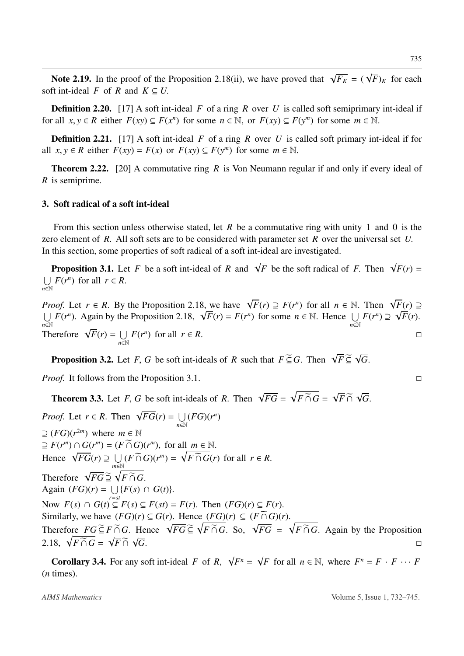Note 2.19. In the proof of the Proposition 2.18(ii), we have proved that  $\sqrt{F_K} = (\sqrt{F})_K$  for each soft int-ideal *F* of *R* and  $K \subseteq U$ .

**Definition 2.20.** [17] A soft int-ideal *F* of a ring *R* over *U* is called soft semiprimary int-ideal if for all  $x, y \in R$  either  $F(xy) \subseteq F(x^n)$  for some  $n \in \mathbb{N}$ , or  $F(xy) \subseteq F(y^m)$  for some  $m \in \mathbb{N}$ .

**Definition 2.21.** [17] A soft int-ideal *F* of a ring *R* over *U* is called soft primary int-ideal if for all  $x, y \in R$  either  $F(xy) = F(x)$  or  $F(xy) \subseteq F(y^m)$  for some  $m \in \mathbb{N}$ .

Theorem 2.22. [20] A commutative ring *R* is Von Neumann regular if and only if every ideal of *R* is semiprime.

## 3. Soft radical of a soft int-ideal

From this section unless otherwise stated, let *R* be a commutative ring with unity 1 and 0 is the zero element of *R*. All soft sets are to be considered with parameter set *R* over the universal set *U*. In this section, some properties of soft radical of a soft int-ideal are investigated.

**Proposition 3.1.** Let *F* be a soft int-ideal of *R* and  $\sqrt{F}$  be the soft radical of *F*. Then  $\sqrt{F}(r) =$  $\bigcup_{r \in \mathbb{N}} F(r^n)$  for all  $r \in R$ . *<sup>n</sup>*∈<sup>N</sup>

*Proof.* Let  $r \in R$ . By the Proposition 2.18, we have  $\sqrt{F}(r) \supseteq F(r^n)$  for all  $n \in \mathbb{N}$ . Then  $\sqrt{F}(r) \supseteq$  $\bigcup_{n\in\mathbb{N}} F(r^n)$ . Again by the Proposition 2.18,  $\sqrt{F}(r) = F(r^n)$  for some  $n \in \mathbb{N}$ . Hence  $\bigcup_{n\in\mathbb{N}} F(r) = F(r^n)$ Therefore  $\sqrt{F}(r) = \bigcup$  $F(r^n) \supseteq \sqrt{F(r)}$ . *<sup>n</sup>*∈<sup>N</sup> *F*( $r^n$ ) for all  $r \in R$ .

**Proposition 3.2.** Let *F*, *G* be soft int-ideals of *R* such that  $F \subseteq G$ . Then  $\sqrt{F} \subseteq \sqrt{G}$ .

*Proof.* It follows from the Proposition 3.1. □

**Theorem 3.3.** Let *F*, *G* be soft int-ideals of *R*. Then  $\sqrt{FG} = \sqrt{F \cap G} = \sqrt{F \cap \sqrt{G}}$ .

*Proof.* Let  $r \in R$ . Then  $\sqrt{FG}(r) = \bigcup_{n \in \mathbb{N}}$ *<sup>n</sup>*∈<sup>N</sup>  $(FG)(r^n)$  $\supseteq$  (*FG*)(*r*<sup>2*m*</sup>) where *m*  $\supseteq$  N  $\supseteq F(r^m) \cap G(r^m) = (F \cap G)(r^m)$ , for all  $m \in \mathbb{N}$ . Hence  $\sqrt{FG}(r) \supseteq \bigcup_{m \in \mathbb{N}} (F \cap G)(r^m) = \sqrt{F \cap G}(r)$  for all  $r \in R$ . *<sup>m</sup>*∈<sup>N</sup> Therefore  $\sqrt{FG} \ \overline{\supseteq} \ \sqrt{F} \ \overline{\cap} \ G$ . Again  $(FG)(r) = \bigcup_{r=ct} \{F(s) \cap G(t)\}.$ Now  $F(s) \cap G(t) \subseteq F(s) \subseteq F(st) = F(r)$ . Then  $(FG)(r) \subseteq F(r)$ . Similarly, we have  $(FG)(r) \subseteq G(r)$ . Hence  $(FG)(r) \subseteq (F \cap G)(r)$ . Therefore  $FG \subseteq F \cap G$ . Hence  $\sqrt{FG} \subseteq \sqrt{F \cap G}$ . So,  $\sqrt{FG} = \sqrt{F \cap G}$ . Again by the Proposition 2.18,  $\sqrt{F \cap G} = \sqrt{F} \cap \sqrt{G}$ *G*.

**Corollary 3.4.** For any soft int-ideal *F* of *R*,  $\sqrt{F^n} = \sqrt{F}$  for all  $n \in \mathbb{N}$ , where  $F^n = F \cdot F \cdots F$ (*n* times).

*AIMS Mathematics* Volume 5, Issue 1, 732–745.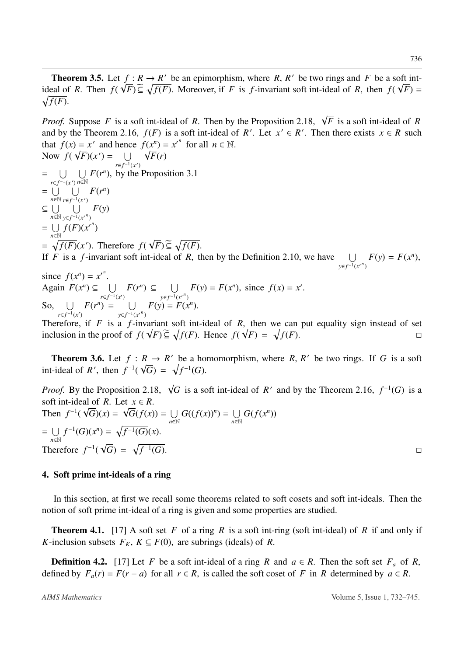**Theorem 3.5.** Let  $f: R \to R'$  be an epimorphism, where *R*, *R'* be two rings and *F* be a soft intideal of *R*. Then  $f(\sqrt{F}) \subseteq \sqrt{f(F)}$ . Moreover, if *F* is *f*-invariant soft int-ideal of *R*, then  $f(\sqrt{F}) = \sqrt{f(F)}$  $\sqrt{f(F)}$ .

*Proof.* Suppose *F* is a soft int-ideal of *R*. Then by the Proposition 2.18,  $\sqrt{F}$  is a soft int-ideal of *R* and by the Theorem 2.16,  $f(F)$  is a soft int-ideal of *R'*. Let  $x' \in R'$ . Then there exists  $x \in R$  such that  $f(x) = x'$  and hence  $f(x^n) = x'^n$  for all  $n \in \mathbb{N}$ . Now  $f(\sqrt{F})(x') = \bigcup \sqrt{F}(r)$ 

*r*∈ $f^{-1}(x')$ =  $\bigcup$   $\bigcup$  *F*(*r<sup>n</sup>*), by the Proposition 3.1 *r*∈ *f*<sup>-1</sup>(*x*<sup>'</sup>)</sub> *n*∈N  $= \bigcup_{n=1}^{\infty} \bigcup_{n=1}^{\infty} F(r^n)$  $n \in \mathbb{N}$   $ref^{-1}(x')$  $\subseteq \bigcup_{n\in\mathbb{N}}$ *<sup>n</sup>*∈<sup>N</sup>  $\overline{\mathsf{I}}$ *y*∈ *f*<sup>-1</sup>(*x*<sup>*n*</sup>) *F*(*y*)  $=$   $\cup$ *<sup>n</sup>*∈<sup>N</sup>  $f(F)(x')$  $= \sqrt{f(F)}(x')$ . Therefore  $f(\sqrt{F}) \subseteq \sqrt{f(F)}$ .

If *F* is a *f*-invariant soft int-ideal of *R*, then by the Definition 2.10, we have  $\bigcup$  $y \in f^{-1}(x^n)$  $F(y) = F(x^n)$ ,

since  $f(x^n) = x'^n$ . Again  $F(x^n) \subseteq \bigcup_{x \in C^{-1}}$  $r \in f^{-1}(x')$  $F(r^n) \subseteq \bigcup_{r \in \mathbb{R}^n}$  $y \in f^{-1}(x^n)$  $F(y) = F(x^n)$ , since  $f(x) = x'$ . So,  $\cup$  $r \in f^{-1}(x')$  $F(r^n) = \bigcup$  $y \in f^{-1}(x^n)$  $F(y) = F(x^n).$ 

Therefore, if  $F$  is a  $f$ -invariant soft int-ideal of  $R$ , then we can put equality sign instead of set inclusion in the proof of  $f(\sqrt{F}) \subseteq \sqrt{f(F)}$ . Hence  $f(\sqrt{F}) = \sqrt{f(F)}$ .

**Theorem 3.6.** Let  $f: R \to R'$  be a homomorphism, where  $R, R'$  be two rings. If *G* is a soft int-ideal of *R'*, then  $f^{-1}(\sqrt{G}) = \sqrt{f^{-1}(G)}$ .

*Proof.* By the Proposition 2.18,  $\sqrt{G}$  is a soft int-ideal of *R'* and by the Theorem 2.16,  $f^{-1}(G)$  is a soft int-ideal of *R*. Let  $x \in R$ . Then  $f^{-1}(\sqrt{G})(x) = \sqrt{G}(f(x)) = \bigcup$ *<sup>n</sup>*∈<sup>N</sup>  $G((f(x))^n) = \bigcup$ *<sup>n</sup>*∈<sup>N</sup>  $G(f(x^n))$  $=$   $\cup$ *<sup>n</sup>*∈<sup>N</sup>  $f^{-1}(G)(x^n) = \sqrt{f^{-1}(G)}(x).$ Therefore  $f^{-1}(\sqrt{G}) = \sqrt{f^{-1}}$  $\overline{(G)}$ .

## 4. Soft prime int-ideals of a ring

In this section, at first we recall some theorems related to soft cosets and soft int-ideals. Then the notion of soft prime int-ideal of a ring is given and some properties are studied.

Theorem 4.1. [17] A soft set *F* of a ring *R* is a soft int-ring (soft int-ideal) of *R* if and only if *K*-inclusion subsets  $F_K$ ,  $K \subseteq F(0)$ , are subrings (ideals) of *R*.

**Definition 4.2.** [17] Let *F* be a soft int-ideal of a ring *R* and  $a \in R$ . Then the soft set  $F_a$  of *R*, defined by  $F_a(r) = F(r - a)$  for all  $r \in R$ , is called the soft coset of *F* in *R* determined by  $a \in R$ .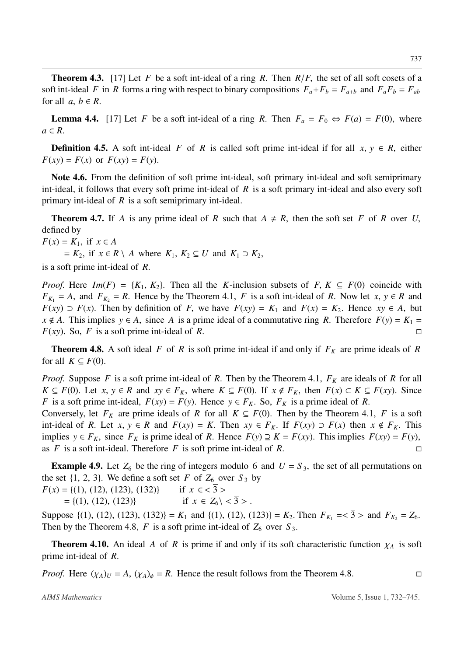Theorem 4.3. [17] Let *F* be a soft int-ideal of a ring *R*. Then *R*/*F*, the set of all soft cosets of a soft int-ideal *F* in *R* forms a ring with respect to binary compositions  $F_a + F_b = F_{a+b}$  and  $F_a F_b = F_{ab}$ for all  $a, b \in R$ .

**Lemma 4.4.** [17] Let *F* be a soft int-ideal of a ring *R*. Then  $F_a = F_0 \Leftrightarrow F(a) = F(0)$ , where  $a \in R$ .

**Definition 4.5.** A soft int-ideal *F* of *R* is called soft prime int-ideal if for all  $x, y \in R$ , either  $F(xy) = F(x)$  or  $F(xy) = F(y)$ .

Note 4.6. From the definition of soft prime int-ideal, soft primary int-ideal and soft semiprimary int-ideal, it follows that every soft prime int-ideal of *R* is a soft primary int-ideal and also every soft primary int-ideal of *R* is a soft semiprimary int-ideal.

**Theorem 4.7.** If *A* is any prime ideal of *R* such that  $A \neq R$ , then the soft set *F* of *R* over *U*, defined by

 $F(x) = K_1$ , if  $x \in A$ 

 $K_2$ , if  $x \in R \setminus A$  where  $K_1, K_2 \subseteq U$  and  $K_1 \supset K_2$ ,

is a soft prime int-ideal of *R*.

*Proof.* Here *Im*(*F*) = { $K_1$ ,  $K_2$ }. Then all the *K*-inclusion subsets of *F*,  $K \subseteq F(0)$  coincide with  $F_{K_1} = A$ , and  $F_{K_2} = R$ . Hence by the Theorem 4.1, *F* is a soft int-ideal of *R*. Now let *x*, *y* ∈ *R* and *F*(*xy*) ⊃ *F*(*x*). Then by definition of *F*, we have  $F(xy) = K_1$  and  $F(x) = K_2$ . Hence *xy* ∈ *A*, but  $x \notin A$ . This implies  $y \in A$ , since *A* is a prime ideal of a commutative ring *R*. Therefore  $F(y) = K_1 =$ *F*(*xy*). So, *F* is a soft prime int-ideal of *R*.

**Theorem 4.8.** A soft ideal *F* of *R* is soft prime int-ideal if and only if  $F_K$  are prime ideals of *R* for all  $K \subseteq F(0)$ .

*Proof.* Suppose *F* is a soft prime int-ideal of *R*. Then by the Theorem 4.1,  $F_K$  are ideals of *R* for all *K* ⊆ *F*(0). Let *x*, *y* ∈ *R* and *xy* ∈ *F<sub>K</sub>*, where *K* ⊆ *F*(0). If *x* ∉ *F<sub>K</sub>*, then *F*(*x*) ⊂ *K* ⊆ *F*(*xy*). Since *F* is a soft prime int-ideal,  $F(xy) = F(y)$ . Hence  $y \in F_K$ . So,  $F_K$  is a prime ideal of *R*.

Conversely, let  $F_K$  are prime ideals of *R* for all  $K \subseteq F(0)$ . Then by the Theorem 4.1, *F* is a soft int-ideal of *R*. Let  $x, y \in R$  and  $F(xy) = K$ . Then  $xy \in F_K$ . If  $F(xy) \supset F(x)$  then  $x \notin F_K$ . This implies *y* ∈ *F<sub>K</sub>*, since *F<sub>K</sub>* is prime ideal of *R*. Hence *F*(*y*) ⊇ *K* = *F*(*xy*). This implies *F*(*xy*) = *F*(*y*), as *F* is a soft int-ideal. Therefore *F* is soft prime int-ideal of *R*. as *F* is a soft int-ideal. Therefore *F* is soft prime int-ideal of *R*.

**Example 4.9.** Let  $Z_6$  be the ring of integers modulo 6 and  $U = S_3$ , the set of all permutations on the set  $\{1, 2, 3\}$ . We define a soft set *F* of  $Z_6$  over  $S_3$  by  $F(x) = \{(1), (12), (123), (132)\}$  if  $x \in \{5\}$ 

 $F(x) = \{(1), (12), (123), (132)\}$  if  $x \in \{3 \}$ <br>=  $\{(1), (12), (123)\}$  if  $x \in Z_6 \setminus \{3 \}$ .  $= \{(1), (12), (123)\}\$ 

Suppose  $\{(1), (12), (123), (132)\} = K_1$  and  $\{(1), (12), (123)\} = K_2$ . Then  $F_{K_1} = \sqrt{3} >$  and  $F_{K_2} = Z_6$ . Then by the Theorem 4.8,  $F$  is a soft prime int-ideal of  $Z_6$  over  $S_3$ .

**Theorem 4.10.** An ideal *A* of *R* is prime if and only if its soft characteristic function  $\chi_A$  is soft prime int-ideal of *R*.

*Proof.* Here  $(\chi_A)_U = A$ ,  $(\chi_A)_\phi = R$ . Hence the result follows from the Theorem 4.8.

*AIMS Mathematics* Volume 5, Issue 1, 732–745.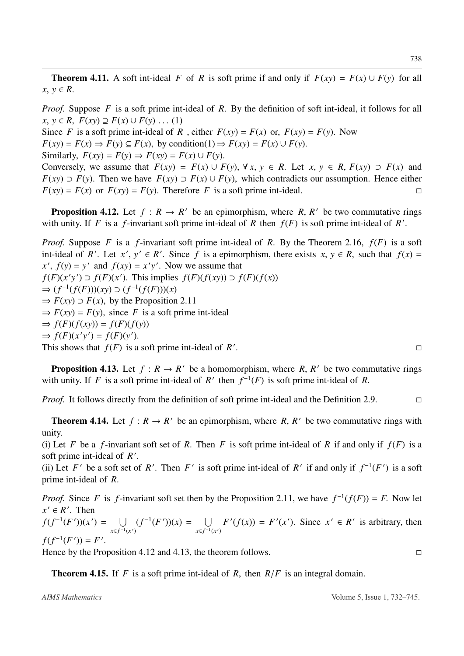**Theorem 4.11.** A soft int-ideal *F* of *R* is soft prime if and only if  $F(xy) = F(x) \cup F(y)$  for all  $x, y \in R$ .

*Proof.* Suppose *F* is a soft prime int-ideal of *R*. By the definition of soft int-ideal, it follows for all *x*, *y* ∈ *R*,  $F(xy) \supseteq F(x) \cup F(y) \dots (1)$ 

Since *F* is a soft prime int-ideal of *R*, either  $F(xy) = F(x)$  or,  $F(xy) = F(y)$ . Now

 $F(xy) = F(x) \Rightarrow F(y) \subseteq F(x)$ , by condition(1)  $\Rightarrow F(xy) = F(x) \cup F(y)$ .

Similarly,  $F(xy) = F(y) \Rightarrow F(xy) = F(x) \cup F(y)$ .

Conversely, we assume that  $F(xy) = F(x) \cup F(y)$ ,  $\forall x, y \in R$ . Let  $x, y \in R$ ,  $F(xy) \supset F(x)$  and *F*(*xy*) ⊃ *F*(*y*). Then we have *F*(*xy*) ⊃ *F*(*x*) ∪ *F*(*y*), which contradicts our assumption. Hence either *F*(*xy*) = *F*(*x*) or *F*(*xy*) = *F*(*y*). Therefore *F* is a soft prime int-ideal.  $F(xy) = F(x)$  or  $F(xy) = F(y)$ . Therefore *F* is a soft prime int-ideal.

**Proposition 4.12.** Let  $f: R \to R'$  be an epimorphism, where R, R' be two commutative rings with unity. If *F* is a *f*-invariant soft prime int-ideal of *R* then  $f(F)$  is soft prime int-ideal of *R'*.

*Proof.* Suppose *F* is a *f*-invariant soft prime int-ideal of *R*. By the Theorem 2.16, *f*(*F*) is a soft int-ideal of *R'*. Let *x'*,  $y' \in R'$ . Since *f* is a epimorphism, there exists  $x, y \in R$ , such that  $f(x) =$  $f(x) = y'$  and  $f(xy) = x'y'$ . Now we assume that *f*(*F*)(*x*<sup> $\prime$ </sup>y<sup> $\prime$ </sup>) ⊃ *f*(*F*)(*x*<sup> $\prime$ </sup>). This implies *f*(*F*)(*f*(*xy*)) ⊃ *f*(*F*)(*f*(*x*)) ⇒  $(f^{-1}(f(F)))(xy)$  ⊃  $(f^{-1}(f(F)))(x)$  $\Rightarrow$  *F(xy)*  $\supset$  *F(x)*, by the Proposition 2.11  $\Rightarrow$  *F*(*xy*) = *F*(*y*), since *F* is a soft prime int-ideal  $\Rightarrow$   $f(F)(f(xy)) = f(F)(f(y))$  $\Rightarrow$   $f(F)(x'y') = f(F)(y').$ This shows that  $f(F)$  is a soft prime int-ideal of  $R'$ .<br>1980 - Paris Constantinopolis de la provincia de la provincia de la provincia de la provincia de la provincia<br>1980 - Paris Constantinopolis de la provincia de la provincia de la provincia de la provincia de la provincia

**Proposition 4.13.** Let  $f: R \to R'$  be a homomorphism, where R, R' be two commutative rings with unity. If *F* is a soft prime int-ideal of *R'* then  $f^{-1}(F)$  is soft prime int-ideal of *R*.

*Proof.* It follows directly from the definition of soft prime int-ideal and the Definition 2.9. □

**Theorem 4.14.** Let  $f: R \to R'$  be an epimorphism, where R, R' be two commutative rings with unity.

(i) Let *F* be a *f*-invariant soft set of *R*. Then *F* is soft prime int-ideal of *R* if and only if  $f(F)$  is a soft prime int-ideal of *R* ′ .

(ii) Let *F*' be a soft set of *R'*. Then *F*' is soft prime int-ideal of *R*' if and only if  $f^{-1}(F')$  is a soft prime int-ideal of *R*.

*Proof.* Since *F* is *f*-invariant soft set then by the Proposition 2.11, we have  $f^{-1}(f(F)) = F$ . Now let  $x' \in R'$ . Then  $f(f^{-1}(F'))(x') = \bigcup$  $x \in f^{-1}(x')$  $(f^{-1}(F'))(x) = \bigcup$  $x \in f^{-1}(x')$  $F'(f(x)) = F'(x')$ . Since  $x' \in R'$  is arbitrary, then  $f(f^{-1}(F')) = F'.$ 

Hence by the Proposition 4.12 and 4.13, the theorem follows.  $\Box$ 

Theorem 4.15. If *F* is a soft prime int-ideal of *R*, then *R*/*F* is an integral domain.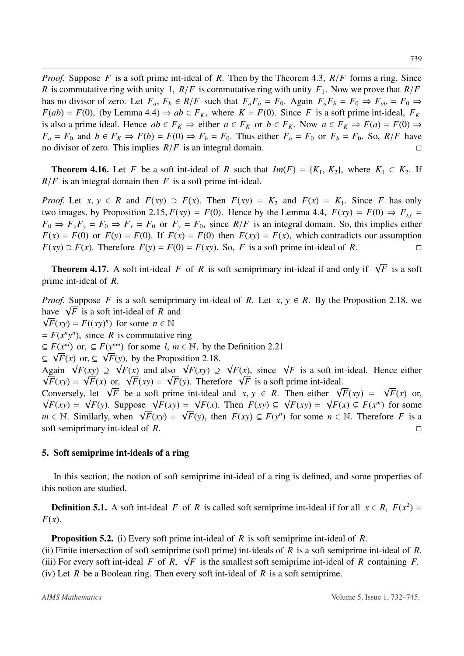*Proof.* Suppose *F* is a soft prime int-ideal of *R*. Then by the Theorem 4.3, *R*/*F* forms a ring. Since *R* is commutative ring with unity 1,  $R/F$  is commutative ring with unity  $F_1$ . Now we prove that  $R/F$ has no divisor of zero. Let  $F_a$ ,  $F_b \in R/F$  such that  $F_a F_b = F_0$ . Again  $F_a F_b = F_0 \Rightarrow F_{ab} = F_0 \Rightarrow$  $F(ab) = F(0)$ , (by Lemma 4.4)  $\Rightarrow ab \in F_K$ , where  $K = F(0)$ . Since *F* is a soft prime int-ideal,  $F_K$ is also a prime ideal. Hence  $ab \in F_K \Rightarrow$  either  $a \in F_K$  or  $b \in F_K$ . Now  $a \in F_K \Rightarrow F(a) = F(0) \Rightarrow$  $F_a = F_0$  and  $b \in F_K \Rightarrow F(b) = F(0) \Rightarrow F_b = F_0$ . Thus either  $F_a = F_0$  or  $F_b = F_0$ . So,  $R/F$  have no divisor of zero. This implies *R*/*F* is an integral domain.

**Theorem 4.16.** Let *F* be a soft int-ideal of *R* such that  $Im(F) = \{K_1, K_2\}$ , where  $K_1 \subset K_2$ . If *R*/*F* is an integral domain then *F* is a soft prime int-ideal.

*Proof.* Let  $x, y \in R$  and  $F(xy) \supset F(x)$ . Then  $F(xy) = K_2$  and  $F(x) = K_1$ . Since *F* has only two images, by Proposition 2.15,  $F(xy) = F(0)$ . Hence by the Lemma 4.4,  $F(xy) = F(0) \Rightarrow F_{xy} =$  $F_0 \Rightarrow F_x F_y = F_0 \Rightarrow F_x = F_0$  or  $F_y = F_0$ , since  $R/F$  is an integral domain. So, this implies either  $F(x) = F(0)$  or  $F(y) = F(0)$ . If  $F(x) = F(0)$  then  $F(xy) = F(x)$ , which contradicts our assumption *F*(*xy*) ⊃ *F*(*x*). Therefore *F*(*y*) = *F*(0) = *F*(*xy*). So, *F* is a soft prime int-ideal of *R*.

**Theorem 4.17.** A soft int-ideal *F* of *R* is soft semiprimary int-ideal if and only if  $\sqrt{F}$  is a soft prime int-ideal of *R*.

*Proof.* Suppose *F* is a soft semiprimary int-ideal of *R*. Let  $x, y \in R$ . By the Proposition 2.18, we have  $\sqrt{F}$  is a soft int-ideal of *R* and  $\sqrt{F}(xy) = F((xy)^n)$  for some  $n \in \mathbb{N}$  $= F(x^n y^n)$ , since *R* is commutative ring  $\subseteq F(x^{nl})$  or,  $\subseteq F(y^{nm})$  for some *l*,  $m \in \mathbb{N}$ , by the Definition 2.21 ⊆  $\sqrt{F(x)}$  or, ⊆  $\sqrt{F(y)}$ , by the Proposition 2.18. Again  $\sqrt{F}(xy) \supseteq \sqrt{F}(x)$  and also  $\sqrt{F}(xy) \supseteq \sqrt{F}(x)$ , since  $\sqrt{F}$  is a soft int-ideal. Hence either  $\sqrt{F}(xy) = \sqrt{F}(x)$  or,  $\sqrt{F}(xy) = \sqrt{F}(y)$ . Therefore  $\sqrt{F}$  is a soft prime int-ideal. Conversely, let  $\sqrt{F}$  be a soft prime int-ideal and  $x, y \in R$ . Then either  $\sqrt{F}(xy) = \sqrt{F}(x)$  or,  $\sqrt{F}(xy) = \sqrt{F}(y)$ . Suppose  $\sqrt{F}(xy) = \sqrt{F}(x)$ . Then  $F(xy) \subseteq \sqrt{F}(xy) = \sqrt{F}(x) \subseteq F(x^m)$  for some

 $m \in \mathbb{N}$ . Similarly, when  $\sqrt{F}(xy) = \sqrt{F}(y)$ , then  $F(xy) \subseteq F(y^n)$  for some  $n \in \mathbb{N}$ . Therefore *F* is a soft semiprimary int-ideal of *R*.

## 5. Soft semiprime int-ideals of a ring

In this section, the notion of soft semiprime int-ideal of a ring is defined, and some properties of this notion are studied.

**Definition 5.1.** A soft int-ideal *F* of *R* is called soft semiprime int-ideal if for all  $x \in R$ ,  $F(x^2) =$ *F*(*x*).

Proposition 5.2. (i) Every soft prime int-ideal of *R* is soft semiprime int-ideal of *R*.

(ii) Finite intersection of soft semiprime (soft prime) int-ideals of *R* is a soft semiprime int-ideal of *R*. (iii) For every soft int-ideal *F* of *R*,  $\sqrt{F}$  is the smallest soft semiprime int-ideal of *R* containing *F*. (iv) Let *R* be a Boolean ring. Then every soft int-ideal of *R* is a soft semiprime.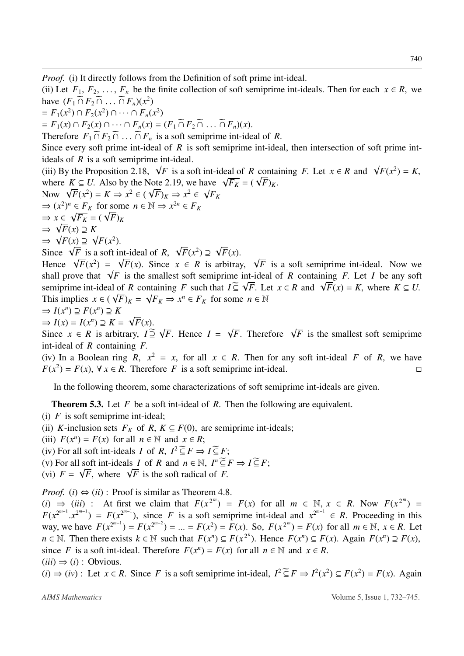*Proof.* (i) It directly follows from the Definition of soft prime int-ideal.

(ii) Let  $F_1, F_2, \ldots, F_n$  be the finite collection of soft semiprime int-ideals. Then for each  $x \in R$ , we have  $(F_1 \cap F_2 \cap ... \cap F_n)(x^2)$ 

$$
= F_1(x^2) \cap F_2(x^2) \cap \cdots \cap F_n(x^2)
$$

 $F_1(x) \cap F_2(x) \cap \cdots \cap F_n(x) = (F_1 \cap F_2 \cap \ldots \cap F_n)(x).$ 

Therefore  $F_1 \cap F_2 \cap \ldots \cap F_n$  is a soft semiprime int-ideal of *R*.

Since every soft prime int-ideal of *R* is soft semiprime int-ideal, then intersection of soft prime intideals of *R* is a soft semiprime int-ideal.

(iii) By the Proposition 2.18,  $\sqrt{F}$  is a soft int-ideal of *R* containing *F*. Let  $x \in R$  and  $\sqrt{F(x^2)} = K$ , where  $K \subseteq U$ . Also by the Note 2.19, we have  $\sqrt{F_K} = (\sqrt{F})_K$ .

Now  $\sqrt{F(x^2)} = K \Rightarrow x^2 \in (\sqrt{F})_K \Rightarrow x^2 \in \sqrt{F_K}$  $\Rightarrow$   $(x^2)^n \in F_K$  for some  $n \in \mathbb{N} \Rightarrow x^{2n} \in F_K$  $\Rightarrow$   $x \in \sqrt{F_K} = (\sqrt{F})_K$ ⇒ √ *F*(*x*) ⊇ *K* ⇒  $\sqrt{F(x)}$  ⊇  $\sqrt{F(x^2)}$ .

Since  $\sqrt{F}$  is a soft int-ideal of *R*,  $\sqrt{F}(x^2) \supseteq \sqrt{F}(x)$ .

Hence  $\sqrt{F(x^2)} = \sqrt{F(x)}$ . Since  $x \in R$  is arbitray,  $\sqrt{F}$  is a soft semiprime int-ideal. Now we shall prove that  $\sqrt{F}$  is the smallest soft semiprime int-ideal of *R* containing *F*. Let *I* be any soft semiprime int-ideal of *R* containing *F* such that  $I \subseteq \sqrt{F}$ . Let  $x \in R$  and  $\sqrt{F}(x) = K$ , where  $K \subseteq U$ . This implies  $x \in (\sqrt{F})_K = \sqrt{F_K} \Rightarrow x^n \in F_K$  for some  $n \in \mathbb{N}$ 

$$
\Rightarrow I(x^n) \supseteq F(x^n) \supseteq K
$$

 $\Rightarrow I(x) = I(x^n) \supseteq K = \sqrt{F(x)}.$ 

Since  $x \in R$  is arbitrary,  $I \supseteq \sqrt{F}$ . Hence  $I = \sqrt{F}$ . Therefore  $\sqrt{F}$  is the smallest soft semiprime int-ideal of *R* containing *F*.

(iv) In a Boolean ring *R*,  $x^2 = x$ , for all  $x \in R$ . Then for any soft int-ideal *F* of *R*, we have *F*( $x^2$ ) = *F*(*x*), ∀ *x* ∈ *R*. Therefore *F* is a soft semiprime int-ideal.

In the following theorem, some characterizations of soft semiprime int-ideals are given.

Theorem 5.3. Let *F* be a soft int-ideal of *R*. Then the following are equivalent.

- (i) *F* is soft semiprime int-ideal;
- (ii) *K*-inclusion sets  $F_K$  of *R*,  $K \subseteq F(0)$ , are semiprime int-ideals;
- (iii)  $F(x^n) = F(x)$  for all  $n \in \mathbb{N}$  and  $x \in R$ ;
- (iv) For all soft int-ideals *I* of *R*,  $I^2 \leq F \Rightarrow I \leq F$ ;
- (v) For all soft int-ideals *I* of *R* and  $n \in \mathbb{N}$ ,  $I^n \subseteq F \Rightarrow I \subseteq F$ ;
- (vi)  $F = \sqrt{F}$ , where  $\sqrt{F}$  is the soft radical of *F*.

*Proof.* (*i*)  $\Leftrightarrow$  (*ii*): Proof is similar as Theorem 4.8.

(*i*) ⇒ (*iii*) : At first we claim that  $F(x^{2^m}) = F(x)$  for all  $m \in \mathbb{N}, x \in R$ . Now  $F(x^{2^m}) = \sum_{m=1}^{\infty} F(x^{2^m}) = \sum_{m=1}^{\infty} F(x^{2^m}) = \sum_{m=1}^{\infty} F(x^{2^m}) = \sum_{m=1}^{\infty} F(x^{2^m}) = \sum_{m=1}^{\infty} F(x^{2^m}) = \sum_{m=1}^{\infty} F(x^{2^m}) = \sum_{m=1}$  $F(x^{2^{m-1}} \cdot x^{2^{m-1}}) = F(x^{2^{m-1}})$ , since *F* is a soft semiprime int-ideal and  $x^{2^{m-1}} \in R$ . Proceeding in this way, we have  $F(x^{2^{m-1}}) = F(x^{2^{m-2}}) = ... = F(x^2) = F(x)$ . So,  $F(x^{2^m}) = F(x)$  for all  $m \in \mathbb{N}$ ,  $x \in R$ . Let  $n \in \mathbb{N}$ . Then there exists  $k \in \mathbb{N}$  such that  $F(x^n) \subseteq F(x^{2^k})$ . Hence  $F(x^n) \subseteq F(x)$ . Again  $F(x^n) \supseteq F(x)$ , since *F* is a soft int-ideal. Therefore  $F(x^n) = F(x)$  for all  $n \in \mathbb{N}$  and  $x \in R$ .  $(iii) \Rightarrow (i)$ : Obvious.

 $(i)$  ⇒  $(iv)$ : Let  $x \in R$ . Since *F* is a soft semiprime int-ideal,  $I^2 \subseteq F$  ⇒  $I^2(x^2) \subseteq F(x^2) = F(x)$ . Again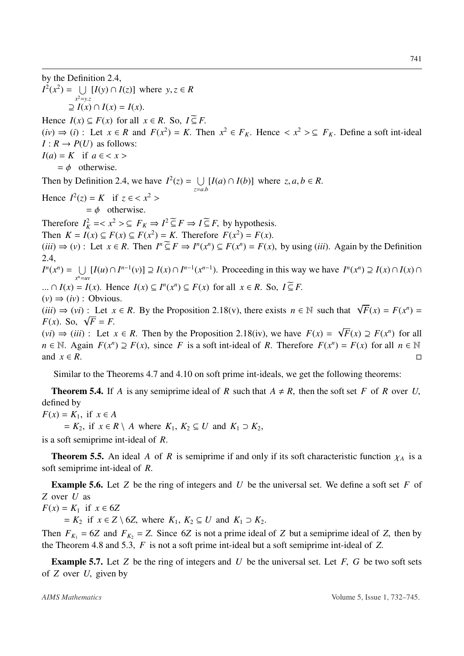by the Definition 2.4,  $I^2(x^2) = \bigcup_{y \in \mathbb{R}} [I(y) \cap I(z)]$  where  $y, z \in R$ *x* <sup>2</sup>=*y*.*z*  $\supseteq I(x) \cap I(x) = I(x).$ Hence  $I(x) \subseteq F(x)$  for all  $x \in R$ . So,  $I \subseteq F$ .  $(iv) \Rightarrow (i)$ : Let  $x \in R$  and  $F(x^2) = K$ . Then  $x^2 \in F_K$ . Hence  $\langle x^2 \rangle \subseteq F_K$ . Define a soft int-ideal  $I: R \rightarrow P(U)$  as follows:  $I(a) = K$  if  $a \in \langle x \rangle$  $=$   $\phi$  otherwise. Then by Definition 2.4, we have  $I^2(z) = \bigcup$  $\bigcup_{z=a,b} [I(a) \cap I(b)]$  where  $z, a, b \in R$ . Hence  $I^2(z) = K$  if  $z \in \langle x^2 \rangle$  $=$  φ otherwise. Therefore  $I_K^2 = \langle x^2 \rangle \subseteq F_K \Rightarrow I^2 \subseteq F \Rightarrow I \subseteq F$ , by hypothesis. Then  $K = I(x) \subseteq F(x) \subseteq F(x^2) = K$ . Therefore  $F(x^2) = F(x)$ .  $(iii) \Rightarrow (v)$ : Let  $x \in R$ . Then  $I^n \subseteq F \Rightarrow I^n(x^n) \subseteq F(x^n) = F(x)$ , by using (*iii*). Again by the Definition 2.4,  $I^n(x^n) = \bigcup$ *x*  $\bigcup_{n=uv} [I(u) \cap I^{n-1}(v)] \supseteq I(x) \cap I^{n-1}(x^{n-1})$ . Proceeding in this way we have  $I^n(x^n) \supseteq I(x) \cap I(x) \cap I(x)$ ...  $\cap$  *I*(*x*) = *I*(*x*). Hence *I*(*x*)  $\subseteq$  *I<sup>n</sup>*(*x<sup>n</sup>*)  $\subseteq$  *F*(*x*) for all *x*  $\in$  *R*. So, *I* $\subseteq$  *F*.  $(v) \Rightarrow (iv)$ : Obvious. (*iii*) ⇒ (*vi*) : Let *x* ∈ *R*. By the Proposition 2.18(*v*), there exists *n* ∈ N such that  $\sqrt{F}(x) = F(x^n) =$  $F(x)$ . So,  $\sqrt{F} = F$ .  $(vi)$  ⇒  $(iii)$ : Let  $x \in R$ . Then by the Proposition 2.18(iv), we have  $F(x) = \sqrt{F(x)} \supseteq F(x^n)$  for all *n* ∈ N. Again  $F(x^n) \supseteq F(x)$ , since *F* is a soft int-ideal of *R*. Therefore  $F(x^n) = F(x)$  for all  $n \in \mathbb{N}$ and  $x \in R$ .

Similar to the Theorems 4.7 and 4.10 on soft prime int-ideals, we get the following theorems:

**Theorem 5.4.** If *A* is any semiprime ideal of *R* such that  $A \neq R$ , then the soft set *F* of *R* over *U*, defined by

*F*(*x*) = *K*<sub>1</sub>, if *x* ∈ *A* 

 $K_1, K_2 \subseteq U$  and  $K_1 \supset K_2$ ,  $K_2 \subseteq U$  and  $K_1 \supset K_2$ ,

is a soft semiprime int-ideal of *R*.

**Theorem 5.5.** An ideal *A* of *R* is semiprime if and only if its soft characteristic function  $\chi_A$  is a soft semiprime int-ideal of *R*.

Example 5.6. Let *Z* be the ring of integers and *U* be the universal set. We define a soft set *F* of *Z* over *U* as

*F*(*x*) = *K*<sub>1</sub> if *x* ∈ 6*Z* 

 $K_2$  if  $x \in Z \setminus 6Z$ , where  $K_1, K_2 \subseteq U$  and  $K_1 \supset K_2$ .

Then  $F_{K_1} = 6Z$  and  $F_{K_2} = Z$ . Since 6*Z* is not a prime ideal of *Z* but a semiprime ideal of *Z*, then by the Theorem 4.8 and 5.3, *F* is not a soft prime int-ideal but a soft semiprime int-ideal of *Z*.

Example 5.7. Let *Z* be the ring of integers and *U* be the universal set. Let *F*, *G* be two soft sets of *Z* over *U*, given by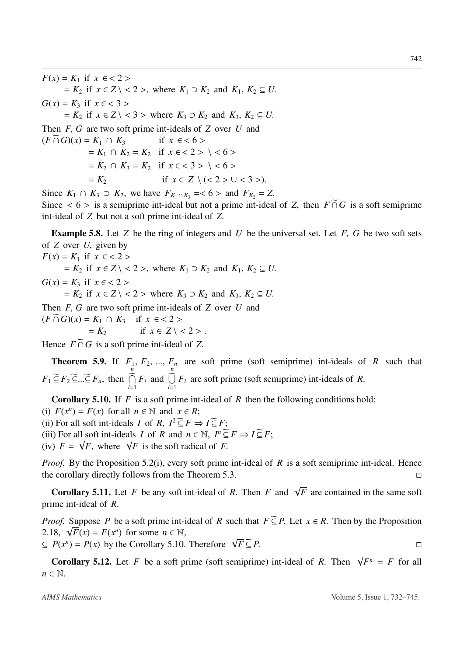*F*(*x*) = *K*<sub>1</sub> if *x* ∈ < 2 >  $= K_2$  if  $x \in Z \setminus \langle 2 \rangle$ , where  $K_1 \supset K_2$  and  $K_1, K_2 \subseteq U$ . *G*(*x*) = *K*<sub>3</sub> if *x* ∈ < 3 >  $K_2$  if  $x \in Z \setminus \{3\}$  where  $K_3 \supset K_2$  and  $K_3, K_2 \subseteq U$ . Then *F*, *G* are two soft prime int-ideals of *Z* over *U* and  $(F \cap G)(x) = K_1 \cap K_3$  if  $x \in 6$  $= K_1 \cap K_2 = K_2$  if  $x \in \langle 2 \rangle \setminus \langle 6 \rangle$ 

 $= K_2 \cap K_3 = K_2$  if  $x \in \langle 3 \rangle \setminus \langle 6 \rangle$ <br>=  $K_2$  if  $x \in Z \setminus \langle \langle 2 \rangle \cup \langle 3 \rangle$ *if*  $x \in Z \setminus \{ < 2 > ∪ < 3 > \}.$ 

Since  $K_1$  ∩  $K_3$  ⊃  $K_2$ , we have  $F_{K_1 \cap K_3}$  = < 6 > and  $F_{K_2}$  = Z. Since  $\lt 6$  > is a semiprime int-ideal but not a prime int-ideal of *Z*, then  $F \cap G$  is a soft semiprime int-ideal of *Z* but not a soft prime int-ideal of *Z*.

Example 5.8. Let *Z* be the ring of integers and *U* be the universal set. Let *F*, *G* be two soft sets of *Z* over *U*, given by

*F*(*x*) = *K*<sub>1</sub> if *x* ∈ < 2 >  $K_2$  if  $x \in Z \setminus \langle 2 \rangle$ , where  $K_1 \supset K_2$  and  $K_1, K_2 \subseteq U$ . *G*(*x*) = *K*<sub>3</sub> if *x* ∈ < 2 >  $K_2$  if  $x \in Z \setminus \langle 2 \rangle$  where  $K_3 \supset K_2$  and  $K_3, K_2 \subseteq U$ .

Then *F*, *G* are two soft prime int-ideals of *Z* over *U* and  $(F \cap G)(x) = K_1 \cap K_3$  if  $x \in \langle 2 \rangle$ <br>=  $K_2$  if  $x \in Z \setminus \{$ if  $x \in Z \setminus \langle 2 \rangle$ .

Hence  $F \cap G$  is a soft prime int-ideal of Z.

**Theorem 5.9.** If  $F_1, F_2, ..., F_n$  are soft prime (soft semiprime) int-ideals of *R* such that  $F_1 \subseteq F_2 \subseteq \ldots \subseteq F_n$ , then *n*  $\widetilde{\bigcap}$  $\bigcap_{i=1} F_i$  and *n*  $\widetilde{\bigcup}$  $\bigcup_{i=1} F_i$  are soft prime (soft semiprime) int-ideals of *R*.

Corollary 5.10. If *F* is a soft prime int-ideal of *R* then the following conditions hold:

(i)  $F(x^n) = F(x)$  for all  $n \in \mathbb{N}$  and  $x \in R$ ;

(ii) For all soft int-ideals *I* of *R*,  $I^2 \subseteq F \Rightarrow I \subseteq F$ ;

(iii) For all soft int-ideals *I* of *R* and  $n \in \mathbb{N}$ ,  $I^n \subseteq F \Rightarrow I \subseteq F$ ;

(iv)  $F = \sqrt{F}$ , where  $\sqrt{F}$  is the soft radical of *F*.

*Proof.* By the Proposition 5.2(i), every soft prime int-ideal of *R* is a soft semiprime int-ideal. Hence the corollary directly follows from the Theorem 5.3.

**Corollary 5.11.** Let *F* be any soft int-ideal of *R*. Then *F* and  $\sqrt{F}$  are contained in the same soft prime int-ideal of *R*.

*Proof.* Suppose *P* be a soft prime int-ideal of *R* such that  $F \subseteq P$ . Let  $x \in R$ . Then by the Proposition 2.18,  $\sqrt{F}(x) = F(x^n)$  for some  $n \in \mathbb{N}$ ,

 $\subseteq P(x^n) = P(x)$  by the Corollary 5.10. Therefore  $\sqrt{F} \subseteq P$ .

**Corollary 5.12.** Let *F* be a soft prime (soft semiprime) int-ideal of *R*. Then  $\sqrt{F^n} = F$  for all  $n \in \mathbb{N}$ .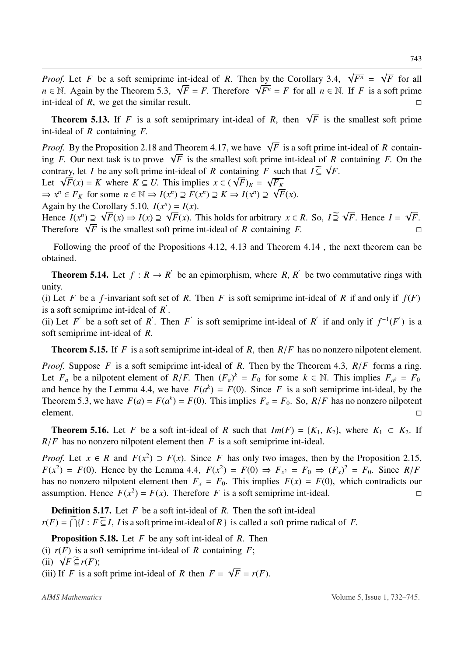*Proof.* Let *F* be a soft semiprime int-ideal of *R*. Then by the Corollary 3.4,  $\sqrt{F^n} = \sqrt{F}$  for all *n* ∈ N. Again by the Theorem 5.3,  $\sqrt{F} = F$ . Therefore  $\sqrt{F^n} = F$  for all  $n \in \mathbb{N}$ . If *F* is a soft prime int-ideal of *R*, we get the similar result.

**Theorem 5.13.** If *F* is a soft semiprimary int-ideal of *R*, then  $\sqrt{F}$  is the smallest soft prime int-ideal of *R* containing *F*.

*Proof.* By the Proposition 2.18 and Theorem 4.17, we have  $\sqrt{F}$  is a soft prime int-ideal of *R* containing *F*. Our next task is to prove  $\sqrt{F}$  is the smallest soft prime int-ideal of *R* containing *F*. On the contrary, let *I* be any soft prime int-ideal of *R* containing *F* such that  $I \subseteq \sqrt{F}$ .

Let  $\sqrt{F}(x) = K$  where  $K \subseteq U$ . This implies  $x \in (\sqrt{F})_K = \sqrt{F_K}$ 

 $\Rightarrow$   $x^n \in F_K$  for some  $n \in \mathbb{N} \Rightarrow I(x^n) \supseteq F(x^n) \supseteq K \Rightarrow I(x^n) \supseteq \sqrt{F}(x)$ .

Again by the Corollary 5.10,  $I(x^n) = I(x)$ .

Hence  $I(x^n) \supseteq \sqrt{F}(x) \Rightarrow I(x) \supseteq \sqrt{F}(x)$ . This holds for arbitrary  $x \in R$ . So,  $I \supseteq \sqrt{F}$ . Hence  $I = \sqrt{F}$ . Therefore  $\sqrt{F}$  is the smallest soft prime int-ideal of *R* containing *F*.

Following the proof of the Propositions 4.12, 4.13 and Theorem 4.14 , the next theorem can be obtained.

**Theorem 5.14.** Let  $f: R \to R'$  be an epimorphism, where R, R' be two commutative rings with unity.

(i) Let *F* be a *f*-invariant soft set of *R*. Then *F* is soft semiprime int-ideal of *R* if and only if  $f(F)$ is a soft semiprime int-ideal of *R* ′ .

(ii) Let *F*<sup> $\prime$ </sup> be a soft set of *R*<sup> $\prime$ </sup>. Then *F*<sup> $\prime$ </sup> is soft semiprime int-ideal of *R*<sup> $\prime$ </sup> if and only if  $f^{-1}(F')$  is a soft semiprime int-ideal of *R*.

Theorem 5.15. If *F* is a soft semiprime int-ideal of *R*, then *R*/*F* has no nonzero nilpotent element.

*Proof.* Suppose *F* is a soft semiprime int-ideal of *R*. Then by the Theorem 4.3, *R*/*F* forms a ring. Let  $F_a$  be a nilpotent element of  $R/F$ . Then  $(F_a)^k = F_0$  for some  $k \in \mathbb{N}$ . This implies  $F_{a^k} = F_0$ and hence by the Lemma 4.4, we have  $F(a^k) = F(0)$ . Since *F* is a soft semiprime int-ideal, by the Theorem 5.3, we have  $F(a) = F(a^k) = F(0)$ . This implies  $F_a = F_0$ . So,  $R/F$  has no nonzero nilpotent element.

**Theorem 5.16.** Let *F* be a soft int-ideal of *R* such that  $Im(F) = \{K_1, K_2\}$ , where  $K_1 \subset K_2$ . If  $R/F$  has no nonzero nilpotent element then *F* is a soft semiprime int-ideal.

*Proof.* Let  $x \in R$  and  $F(x^2) \supset F(x)$ . Since *F* has only two images, then by the Proposition 2.15,  $F(x^2) = F(0)$ . Hence by the Lemma 4.4,  $F(x^2) = F(0) \Rightarrow F_{x^2} = F_0 \Rightarrow (F_x)^2 = F_0$ . Since  $R/F_0$ has no nonzero nilpotent element then  $F_x = F_0$ . This implies  $F(x) = F(0)$ , which contradicts our assumption. Hence  $F(x^2) = F(x)$ . Therefore *F* is a soft semiprime int-ideal.

Definition 5.17. Let *F* be a soft int-ideal of *R*. Then the soft int-ideal  $r(F) = \bigcap_{i=1}^{\infty} {I : F \subseteq I}$ , *I* is a soft prime int-ideal of *R* } is called a soft prime radical of *F*.

Proposition 5.18. Let *F* be any soft int-ideal of *R*. Then (i)  $r(F)$  is a soft semiprime int-ideal of *R* containing *F*; (ii)  $\sqrt{F} \subseteq r(F);$ 

(iii) If *F* is a soft prime int-ideal of *R* then  $F = \sqrt{F} = r(F)$ .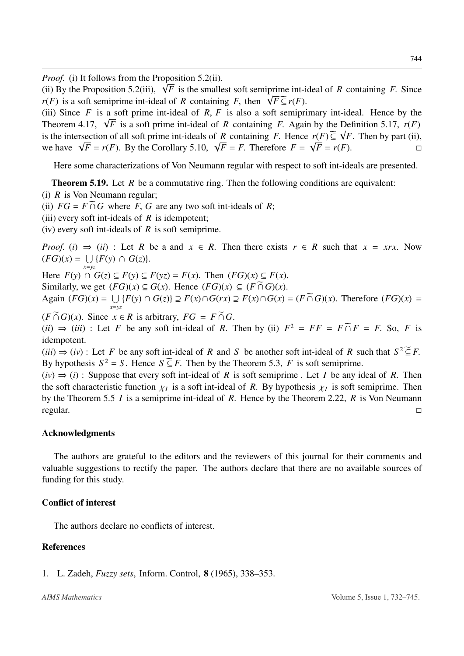*Proof.* (i) It follows from the Proposition 5.2(ii).

(ii) By the Proposition 5.2(iii),  $\sqrt{F}$  is the smallest soft semiprime int-ideal of *R* containing *F*. Since *r*(*F*) is a soft semiprime int-ideal of *R* containing *F*, then  $\sqrt{F} \subseteq r(F)$ .

(iii) Since *F* is a soft prime int-ideal of *R*, *F* is also a soft semiprimary int-ideal. Hence by the Theorem 4.17,  $\sqrt{F}$  is a soft prime int-ideal of *R* containing *F*. Again by the Definition 5.17,  $r(F)$ is the intersection of all soft prime int-ideals of *R* containing *F*. Hence  $r(F) \subseteq \sqrt{F}$ . Then by part (ii), we have  $\sqrt{F} = r(F)$ . By the Corollary 5.10,  $\sqrt{F} = F$ . Therefore  $F = \sqrt{F} = r(F)$ . □

Here some characterizations of Von Neumann regular with respect to soft int-ideals are presented.

**Theorem 5.19.** Let *R* be a commutative ring. Then the following conditions are equivalent:

- (i) *R* is Von Neumann regular;
- (ii)  $FG = F \cap G$  where *F*, *G* are any two soft int-ideals of *R*;
- (iii) every soft int-ideals of *R* is idempotent;
- (iv) every soft int-ideals of *R* is soft semiprime.

*Proof.* (*i*)  $\Rightarrow$  (*ii*) : Let *R* be a and  $x \in R$ . Then there exists  $r \in R$  such that  $x = xrx$ . Now  $(FG)(x) = \bigcup_{x \in \mathbb{R}^n} {F(y) \cap G(z)}.$ *x*=*yz*

Here  $F(y) \cap G(z) \subseteq F(y) \subseteq F(yz) = F(x)$ . Then  $(FG)(x) \subseteq F(x)$ .

Similarly, we get  $(FG)(x) \subseteq G(x)$ . Hence  $(FG)(x) \subseteq (F \cap G)(x)$ .

Again  $(FG)(x) = \bigcup_{x \in \mathbb{R}^n} \{F(y) \cap G(z)\} \supseteq F(x) \cap G(rx) \supseteq F(x) \cap G(x) = (F \cap G)(x)$ . Therefore  $(FG)(x) =$ *x*=*yz*

 $(F \cap G)(x)$ . Since  $x \in R$  is arbitrary,  $FG = F \cap G$ .

 $(iii) \Rightarrow (iii)$ : Let *F* be any soft int-ideal of *R*. Then by (ii)  $F^2 = FF = F \cap F = F$ . So, *F* is idempotent.

 $(iii) \Rightarrow (iv)$ : Let *F* be any soft int-ideal of *R* and *S* be another soft int-ideal of *R* such that  $S^2 \subseteq F$ . By hypothesis  $S^2 = S$ . Hence  $S \subseteq F$ . Then by the Theorem 5.3, *F* is soft semiprime.

 $(iv) \Rightarrow (i)$ : Suppose that every soft int-ideal of *R* is soft semiprime. Let *I* be any ideal of *R*. Then the soft characteristic function  $\chi_I$  is a soft int-ideal of *R*. By hypothesis  $\chi_I$  is soft semiprime. Then by the Theorem 5.5 *I* is a semiprime int-ideal of *R*. Hence by the Theorem 2.22, *R* is Von Neumann regular.

#### Acknowledgments

The authors are grateful to the editors and the reviewers of this journal for their comments and valuable suggestions to rectify the paper. The authors declare that there are no available sources of funding for this study.

#### Conflict of interest

The authors declare no conflicts of interest.

#### References

1. L. Zadeh, *Fuzzy sets*, Inform. Control, 8 (1965), 338–353.